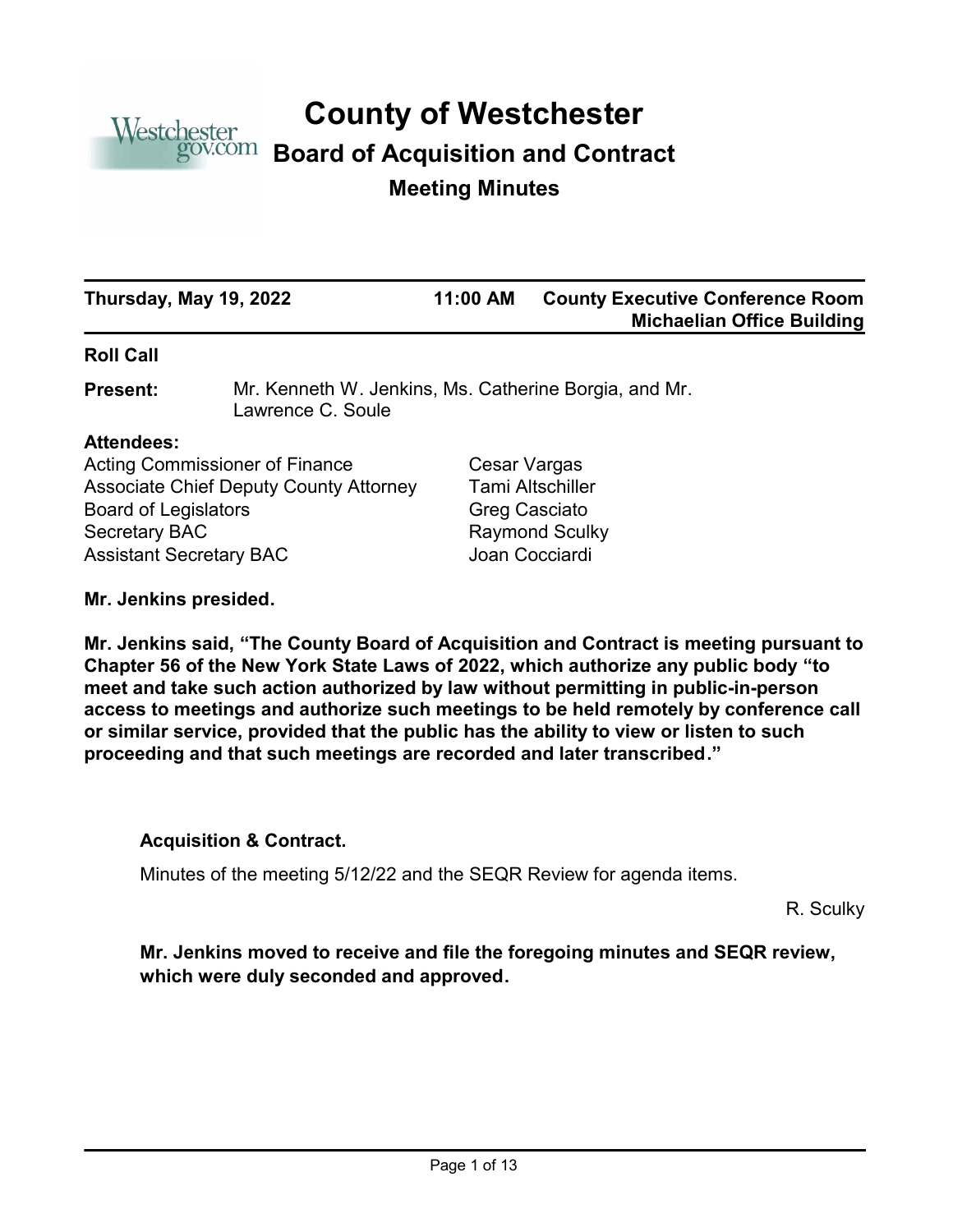

# **County of Westchester**

# **Board of Acquisition and Contract**

# **Meeting Minutes**

| Thursday, May 19, 2022 | 11:00 AM | <b>County Executive Conference Room</b><br><b>Michaelian Office Building</b> |
|------------------------|----------|------------------------------------------------------------------------------|
|                        |          |                                                                              |

# **Roll Call**

Mr. Kenneth W. Jenkins, Ms. Catherine Borgia, and Mr. Lawrence C. Soule **Present:**

# **Attendees:**

Acting Commissioner of Finance Cesar Vargas Associate Chief Deputy County Attorney Tami Altschiller Board of Legislators Greg Casciato Secretary BAC Raymond Sculky Assistant Secretary BAC Joan Cocciardi

**Mr. Jenkins presided.**

**Mr. Jenkins said, "The County Board of Acquisition and Contract is meeting pursuant to Chapter 56 of the New York State Laws of 2022, which authorize any public body "to meet and take such action authorized by law without permitting in public-in-person access to meetings and authorize such meetings to be held remotely by conference call or similar service, provided that the public has the ability to view or listen to such proceeding and that such meetings are recorded and later transcribed."**

# **Acquisition & Contract.**

Minutes of the meeting 5/12/22 and the SEQR Review for agenda items.

R. Sculky

**Mr. Jenkins moved to receive and file the foregoing minutes and SEQR review, which were duly seconded and approved.**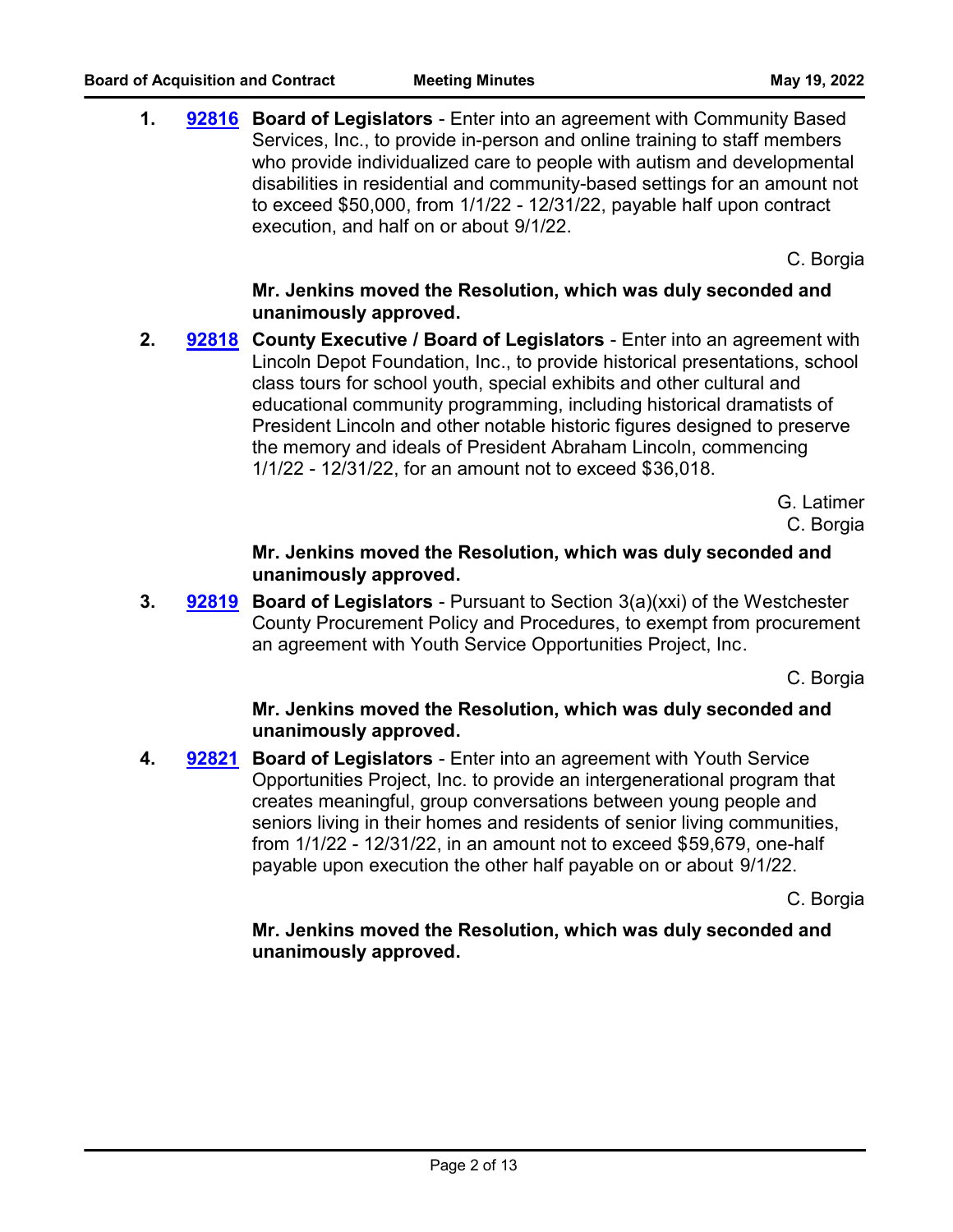**1. [92816](http://westchestercountynyexec.legistar.com/gateway.aspx?m=l&id=/matter.aspx?key=3340)** Board of Legislators - Enter into an agreement with Community Based Services, Inc., to provide in-person and online training to staff members who provide individualized care to people with autism and developmental disabilities in residential and community-based settings for an amount not to exceed \$50,000, from 1/1/22 - 12/31/22, payable half upon contract execution, and half on or about 9/1/22.

C. Borgia

# **Mr. Jenkins moved the Resolution, which was duly seconded and unanimously approved.**

**2. [92818](http://westchestercountynyexec.legistar.com/gateway.aspx?m=l&id=/matter.aspx?key=3341)** County Executive / Board of Legislators - Enter into an agreement with Lincoln Depot Foundation, Inc., to provide historical presentations, school class tours for school youth, special exhibits and other cultural and educational community programming, including historical dramatists of President Lincoln and other notable historic figures designed to preserve the memory and ideals of President Abraham Lincoln, commencing 1/1/22 - 12/31/22, for an amount not to exceed \$36,018.

> G. Latimer C. Borgia

# **Mr. Jenkins moved the Resolution, which was duly seconded and unanimously approved.**

**3. [92819](http://westchestercountynyexec.legistar.com/gateway.aspx?m=l&id=/matter.aspx?key=3342)** Board of Legislators - Pursuant to Section 3(a)(xxi) of the Westchester County Procurement Policy and Procedures, to exempt from procurement an agreement with Youth Service Opportunities Project, Inc.

C. Borgia

# **Mr. Jenkins moved the Resolution, which was duly seconded and unanimously approved.**

4. **92821 Board of Legislators** - Enter into an agreement with Youth Service Opportunities Project, Inc. to provide an intergenerational program that creates meaningful, group conversations between young people and seniors living in their homes and residents of senior living communities, from 1/1/22 - 12/31/22, in an amount not to exceed \$59,679, one-half payable upon execution the other half payable on or about 9/1/22. **[92821](http://westchestercountynyexec.legistar.com/gateway.aspx?m=l&id=/matter.aspx?key=3343)**

C. Borgia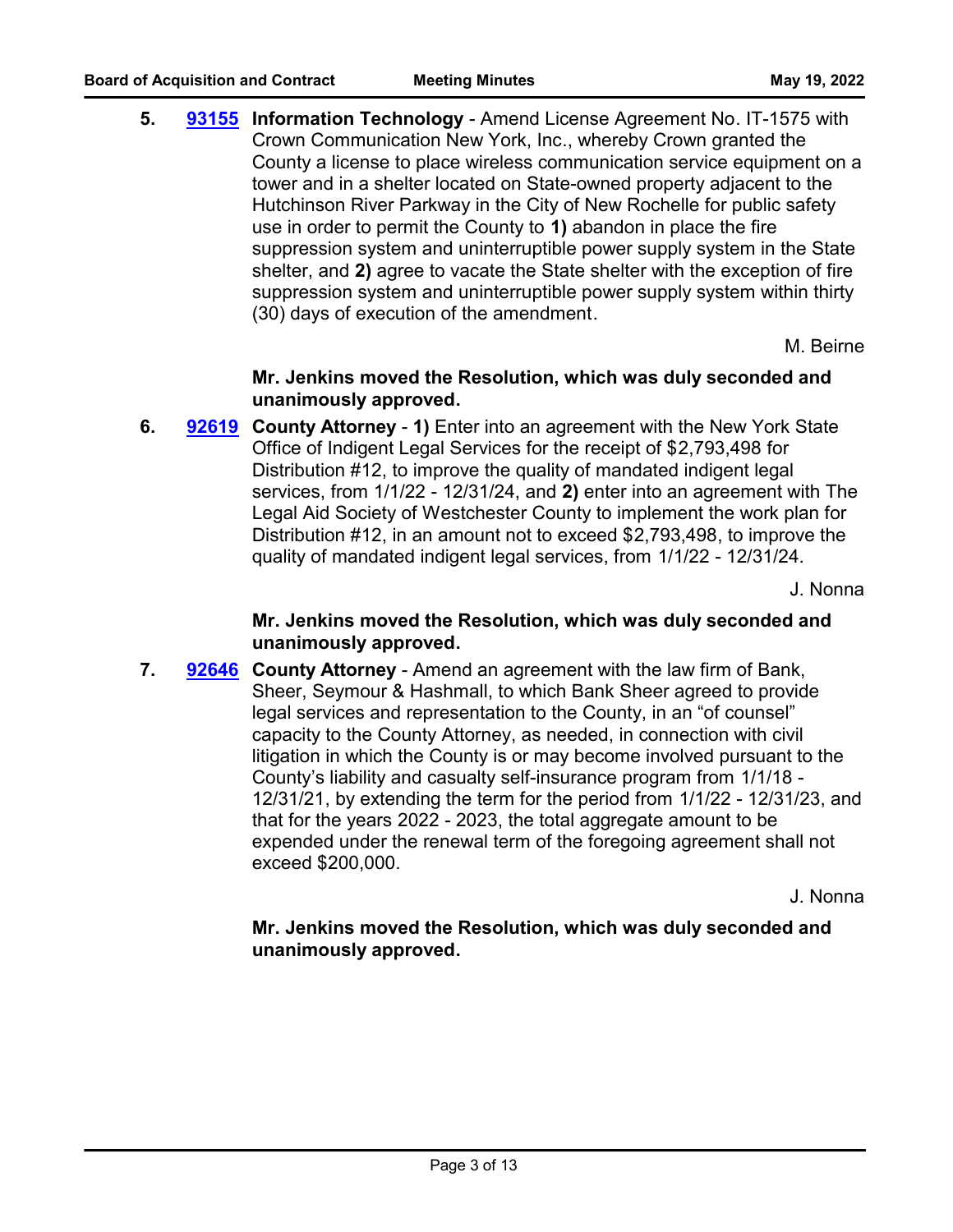**5. [93155](http://westchestercountynyexec.legistar.com/gateway.aspx?m=l&id=/matter.aspx?key=3344)** Information Technology - Amend License Agreement No. IT-1575 with Crown Communication New York, Inc., whereby Crown granted the County a license to place wireless communication service equipment on a tower and in a shelter located on State-owned property adjacent to the Hutchinson River Parkway in the City of New Rochelle for public safety use in order to permit the County to **1)** abandon in place the fire suppression system and uninterruptible power supply system in the State shelter, and **2)** agree to vacate the State shelter with the exception of fire suppression system and uninterruptible power supply system within thirty (30) days of execution of the amendment.

M. Beirne

# **Mr. Jenkins moved the Resolution, which was duly seconded and unanimously approved.**

**6. [92619](http://westchestercountynyexec.legistar.com/gateway.aspx?m=l&id=/matter.aspx?key=3345)** County Attorney - 1) Enter into an agreement with the New York State Office of Indigent Legal Services for the receipt of \$2,793,498 for Distribution #12, to improve the quality of mandated indigent legal services, from 1/1/22 - 12/31/24, and **2)** enter into an agreement with The Legal Aid Society of Westchester County to implement the work plan for Distribution #12, in an amount not to exceed \$2,793,498, to improve the quality of mandated indigent legal services, from 1/1/22 - 12/31/24.

J. Nonna

# **Mr. Jenkins moved the Resolution, which was duly seconded and unanimously approved.**

7. **[92646](http://westchestercountynyexec.legistar.com/gateway.aspx?m=l&id=/matter.aspx?key=3346)** County Attorney - Amend an agreement with the law firm of Bank, Sheer, Seymour & Hashmall, to which Bank Sheer agreed to provide legal services and representation to the County, in an "of counsel" capacity to the County Attorney, as needed, in connection with civil litigation in which the County is or may become involved pursuant to the County's liability and casualty self-insurance program from 1/1/18 - 12/31/21, by extending the term for the period from 1/1/22 - 12/31/23, and that for the years 2022 - 2023, the total aggregate amount to be expended under the renewal term of the foregoing agreement shall not exceed \$200,000.

J. Nonna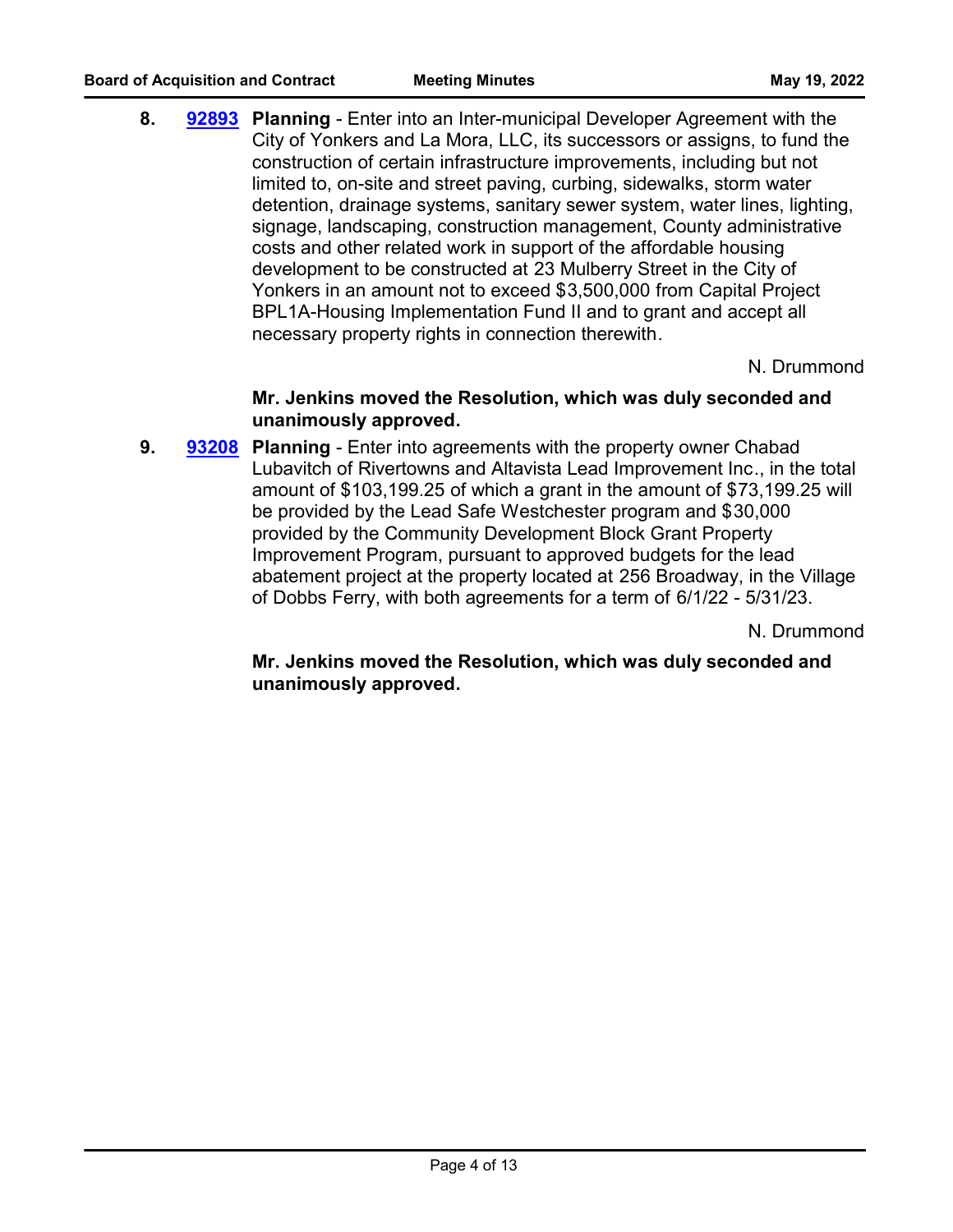**8. Planning** - Enter into an Inter-municipal Developer Agreement with the **[92893](http://westchestercountynyexec.legistar.com/gateway.aspx?m=l&id=/matter.aspx?key=3374)** City of Yonkers and La Mora, LLC, its successors or assigns, to fund the construction of certain infrastructure improvements, including but not limited to, on-site and street paving, curbing, sidewalks, storm water detention, drainage systems, sanitary sewer system, water lines, lighting, signage, landscaping, construction management, County administrative costs and other related work in support of the affordable housing development to be constructed at 23 Mulberry Street in the City of Yonkers in an amount not to exceed \$3,500,000 from Capital Project BPL1A-Housing Implementation Fund II and to grant and accept all necessary property rights in connection therewith.

N. Drummond

#### **Mr. Jenkins moved the Resolution, which was duly seconded and unanimously approved.**

**9. 93208 Planning - Enter into agreements with the property owner Chabad** Lubavitch of Rivertowns and Altavista Lead Improvement Inc., in the total amount of \$103,199.25 of which a grant in the amount of \$73,199.25 will be provided by the Lead Safe Westchester program and \$30,000 provided by the Community Development Block Grant Property Improvement Program, pursuant to approved budgets for the lead abatement project at the property located at 256 Broadway, in the Village of Dobbs Ferry, with both agreements for a term of 6/1/22 - 5/31/23. **[93208](http://westchestercountynyexec.legistar.com/gateway.aspx?m=l&id=/matter.aspx?key=3347)**

N. Drummond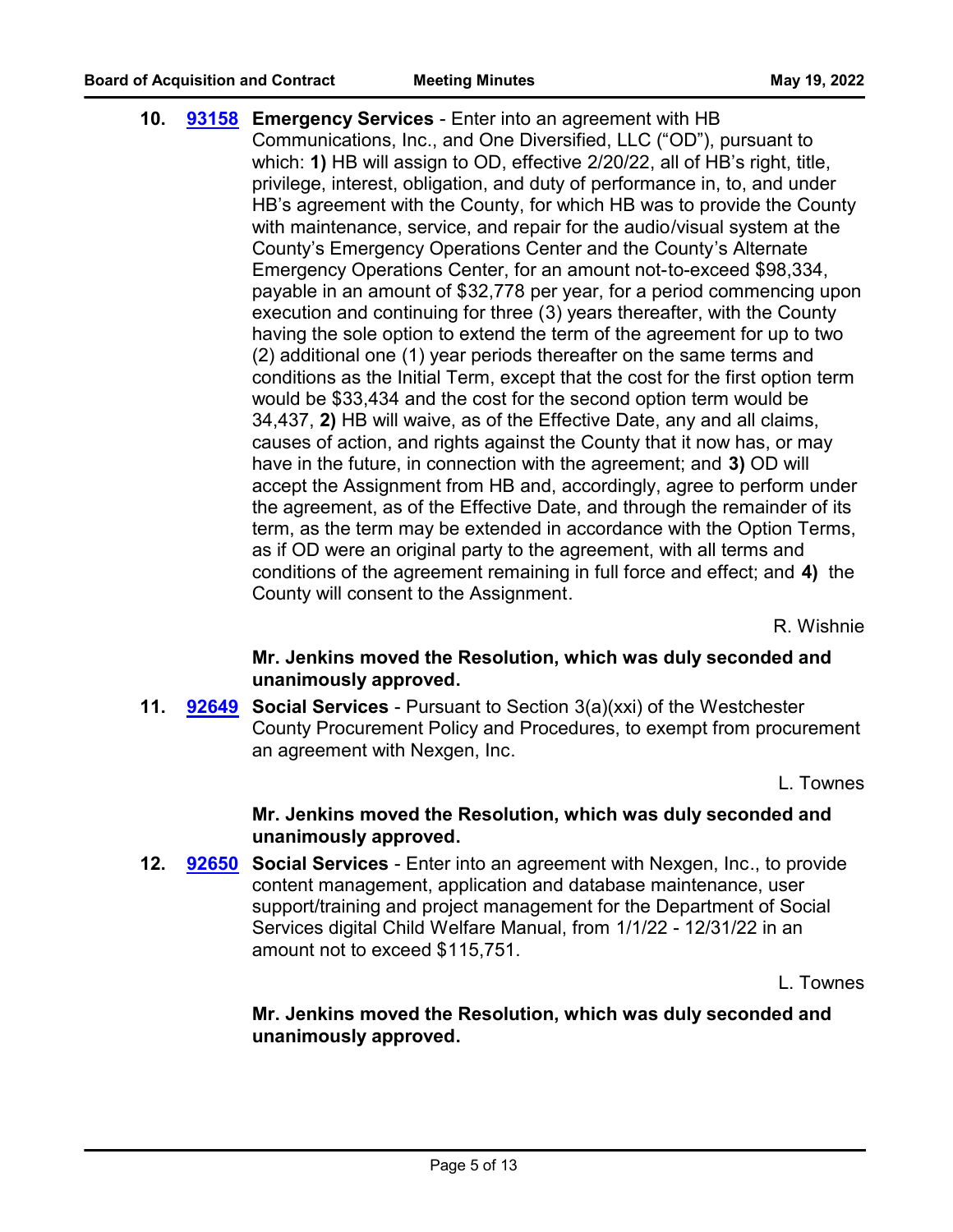**10. [93158](http://westchestercountynyexec.legistar.com/gateway.aspx?m=l&id=/matter.aspx?key=3348)** Emergency Services - Enter into an agreement with HB Communications, Inc., and One Diversified, LLC ("OD"), pursuant to which: **1)** HB will assign to OD, effective 2/20/22, all of HB's right, title, privilege, interest, obligation, and duty of performance in, to, and under HB's agreement with the County, for which HB was to provide the County with maintenance, service, and repair for the audio/visual system at the County's Emergency Operations Center and the County's Alternate Emergency Operations Center, for an amount not-to-exceed \$98,334, payable in an amount of \$32,778 per year, for a period commencing upon execution and continuing for three (3) years thereafter, with the County having the sole option to extend the term of the agreement for up to two (2) additional one (1) year periods thereafter on the same terms and conditions as the Initial Term, except that the cost for the first option term would be \$33,434 and the cost for the second option term would be 34,437, **2)** HB will waive, as of the Effective Date, any and all claims, causes of action, and rights against the County that it now has, or may have in the future, in connection with the agreement; and **3)** OD will accept the Assignment from HB and, accordingly, agree to perform under the agreement, as of the Effective Date, and through the remainder of its term, as the term may be extended in accordance with the Option Terms, as if OD were an original party to the agreement, with all terms and conditions of the agreement remaining in full force and effect; and **4)** the County will consent to the Assignment.

R. Wishnie

# **Mr. Jenkins moved the Resolution, which was duly seconded and unanimously approved.**

**11. [92649](http://westchestercountynyexec.legistar.com/gateway.aspx?m=l&id=/matter.aspx?key=3349)** Social Services - Pursuant to Section 3(a)(xxi) of the Westchester County Procurement Policy and Procedures, to exempt from procurement an agreement with Nexgen, Inc.

L. Townes

# **Mr. Jenkins moved the Resolution, which was duly seconded and unanimously approved.**

**12. [92650](http://westchestercountynyexec.legistar.com/gateway.aspx?m=l&id=/matter.aspx?key=3350)** Social Services - Enter into an agreement with Nexgen, Inc., to provide content management, application and database maintenance, user support/training and project management for the Department of Social Services digital Child Welfare Manual, from 1/1/22 - 12/31/22 in an amount not to exceed \$115,751.

L. Townes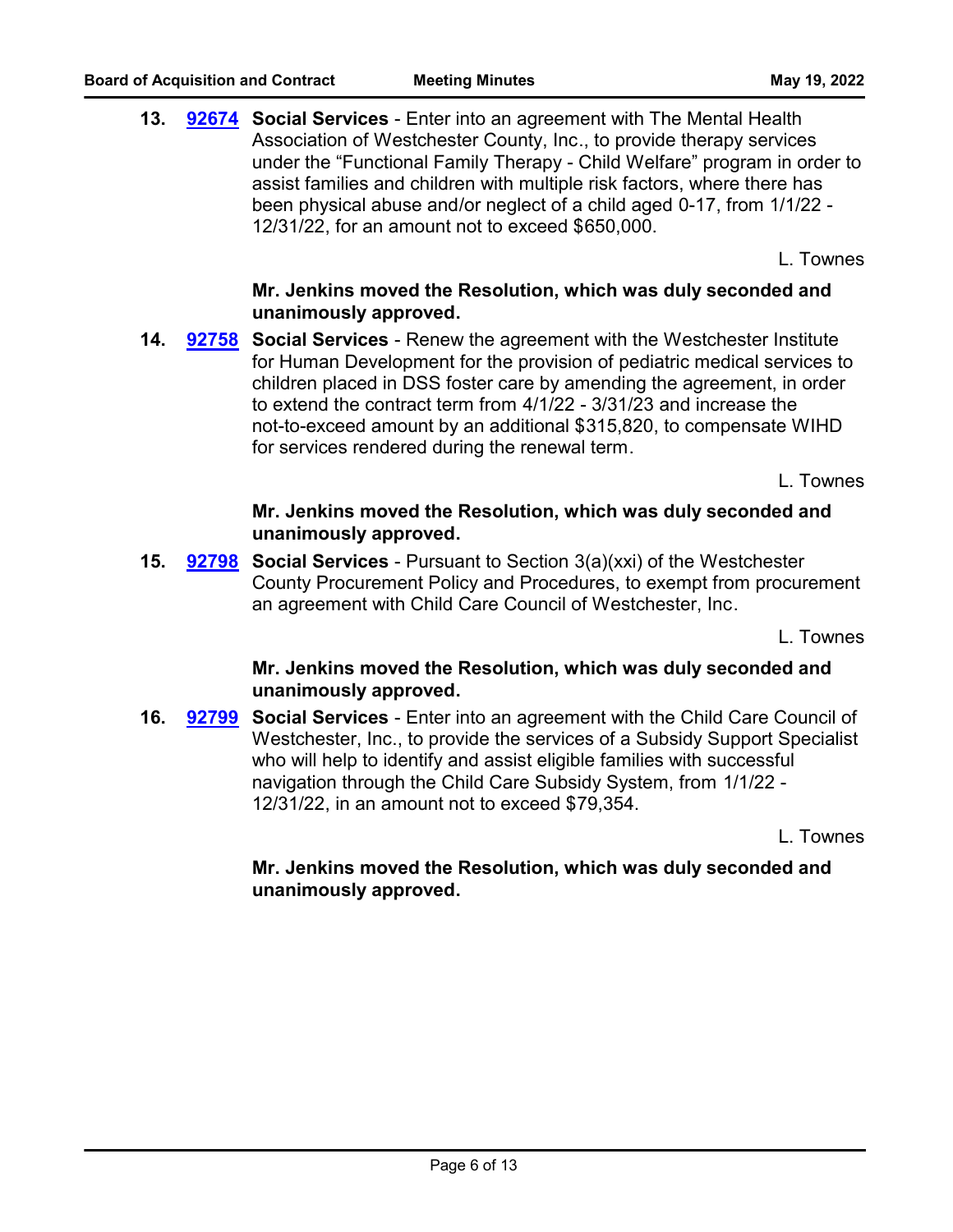**13. [92674](http://westchestercountynyexec.legistar.com/gateway.aspx?m=l&id=/matter.aspx?key=3351)** Social Services - Enter into an agreement with The Mental Health Association of Westchester County, Inc., to provide therapy services under the "Functional Family Therapy - Child Welfare" program in order to assist families and children with multiple risk factors, where there has been physical abuse and/or neglect of a child aged 0-17, from 1/1/22 - 12/31/22, for an amount not to exceed \$650,000.

L. Townes

# **Mr. Jenkins moved the Resolution, which was duly seconded and unanimously approved.**

**14. [92758](http://westchestercountynyexec.legistar.com/gateway.aspx?m=l&id=/matter.aspx?key=3352)** Social Services - Renew the agreement with the Westchester Institute for Human Development for the provision of pediatric medical services to children placed in DSS foster care by amending the agreement, in order to extend the contract term from 4/1/22 - 3/31/23 and increase the not-to-exceed amount by an additional \$315,820, to compensate WIHD for services rendered during the renewal term.

L. Townes

# **Mr. Jenkins moved the Resolution, which was duly seconded and unanimously approved.**

**15. [92798](http://westchestercountynyexec.legistar.com/gateway.aspx?m=l&id=/matter.aspx?key=3353)** Social Services - Pursuant to Section 3(a)(xxi) of the Westchester County Procurement Policy and Procedures, to exempt from procurement an agreement with Child Care Council of Westchester, Inc.

L. Townes

# **Mr. Jenkins moved the Resolution, which was duly seconded and unanimously approved.**

**16. [92799](http://westchestercountynyexec.legistar.com/gateway.aspx?m=l&id=/matter.aspx?key=3354)** Social Services - Enter into an agreement with the Child Care Council of Westchester, Inc., to provide the services of a Subsidy Support Specialist who will help to identify and assist eligible families with successful navigation through the Child Care Subsidy System, from 1/1/22 - 12/31/22, in an amount not to exceed \$79,354.

L. Townes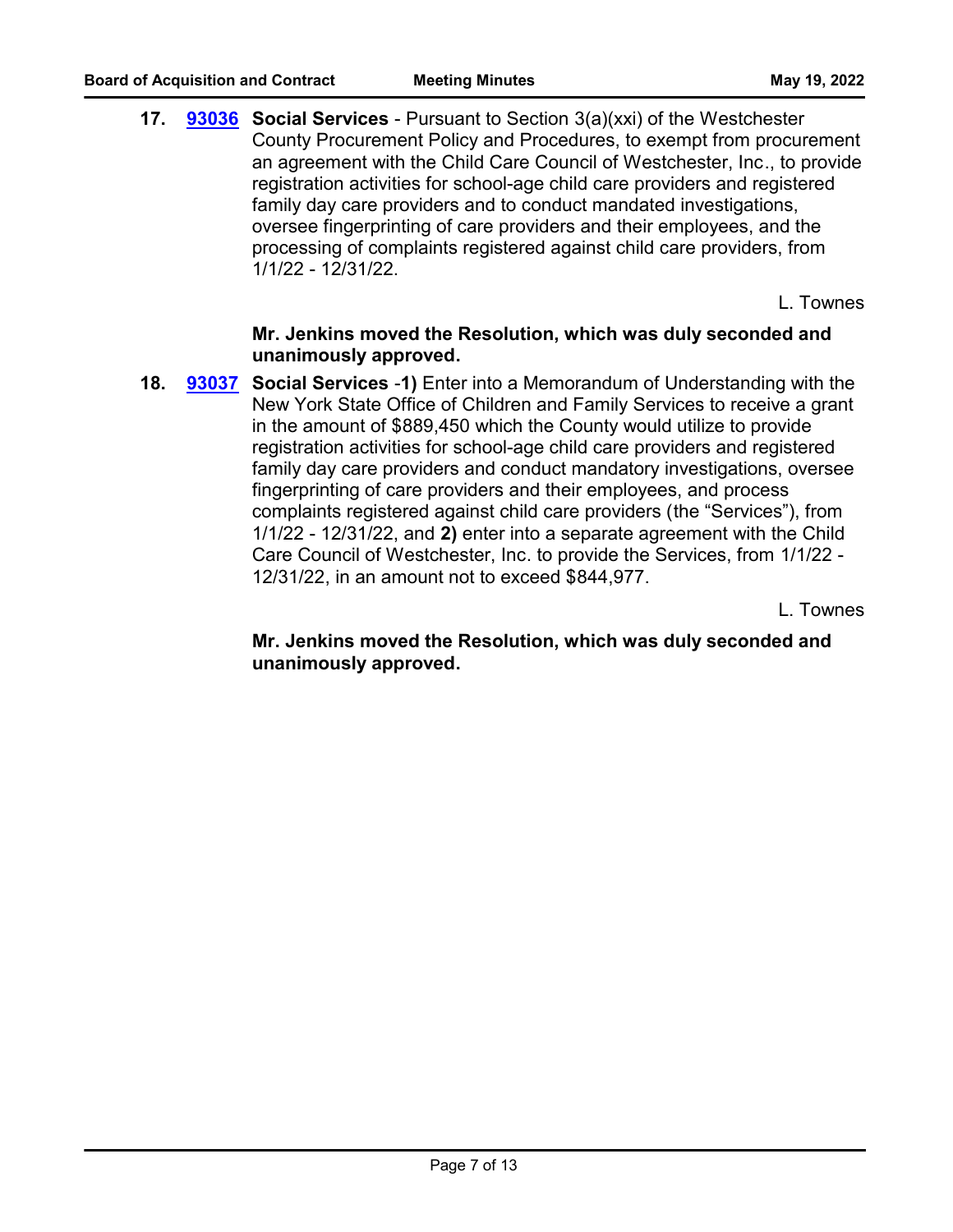**17. [93036](http://westchestercountynyexec.legistar.com/gateway.aspx?m=l&id=/matter.aspx?key=3355)** Social Services - Pursuant to Section 3(a)(xxi) of the Westchester County Procurement Policy and Procedures, to exempt from procurement an agreement with the Child Care Council of Westchester, Inc., to provide registration activities for school-age child care providers and registered family day care providers and to conduct mandated investigations, oversee fingerprinting of care providers and their employees, and the processing of complaints registered against child care providers, from 1/1/22 - 12/31/22.

L. Townes

#### **Mr. Jenkins moved the Resolution, which was duly seconded and unanimously approved.**

**18. [93037](http://westchestercountynyexec.legistar.com/gateway.aspx?m=l&id=/matter.aspx?key=3356)** Social Services -1) Enter into a Memorandum of Understanding with the New York State Office of Children and Family Services to receive a grant in the amount of \$889,450 which the County would utilize to provide registration activities for school-age child care providers and registered family day care providers and conduct mandatory investigations, oversee fingerprinting of care providers and their employees, and process complaints registered against child care providers (the "Services"), from 1/1/22 - 12/31/22, and **2)** enter into a separate agreement with the Child Care Council of Westchester, Inc. to provide the Services, from 1/1/22 - 12/31/22, in an amount not to exceed \$844,977.

L. Townes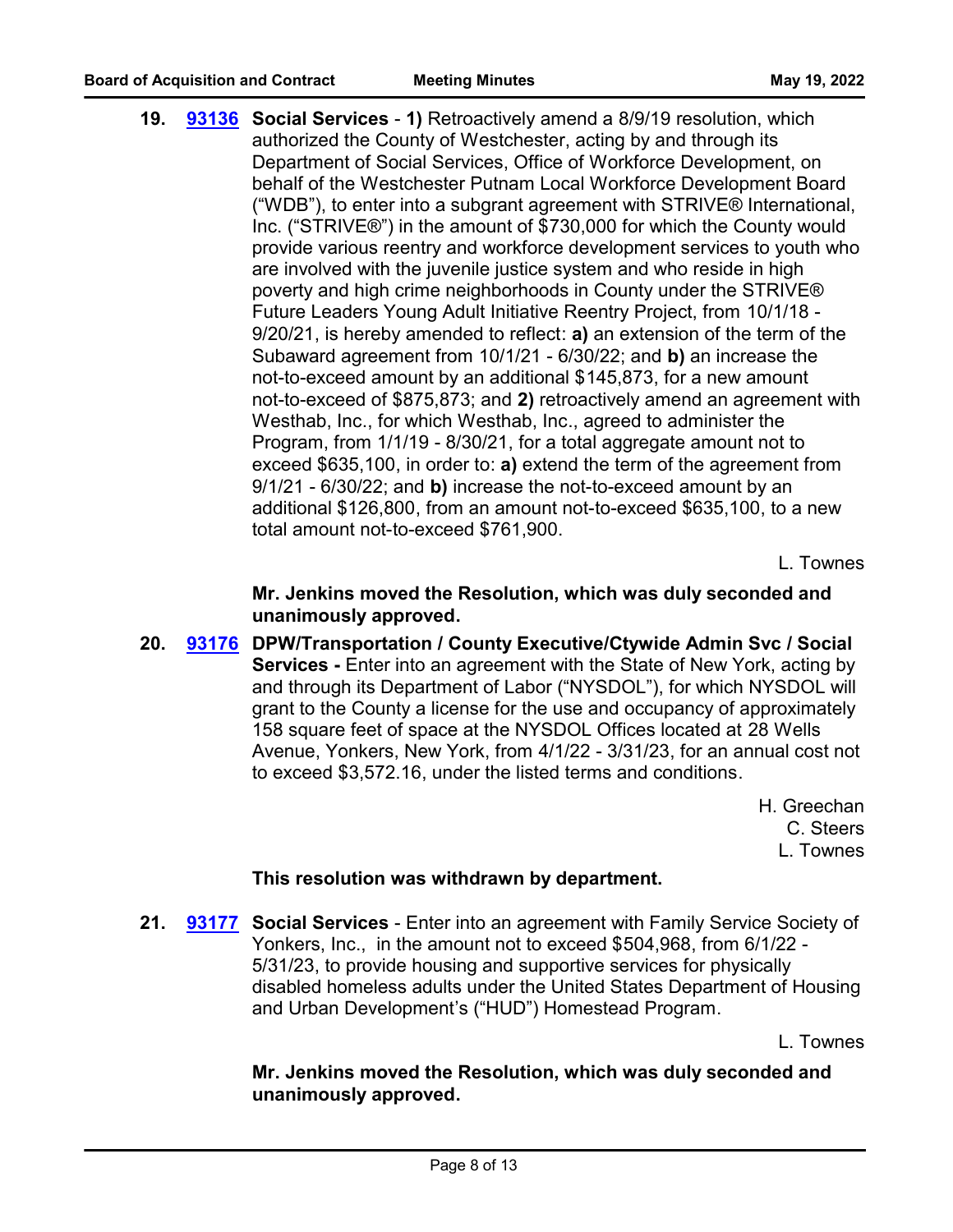**19. [93136](http://westchestercountynyexec.legistar.com/gateway.aspx?m=l&id=/matter.aspx?key=3357)** Social Services - 1) Retroactively amend a 8/9/19 resolution, which authorized the County of Westchester, acting by and through its Department of Social Services, Office of Workforce Development, on behalf of the Westchester Putnam Local Workforce Development Board ("WDB"), to enter into a subgrant agreement with STRIVE® International, Inc. ("STRIVE®") in the amount of \$730,000 for which the County would provide various reentry and workforce development services to youth who are involved with the juvenile justice system and who reside in high poverty and high crime neighborhoods in County under the STRIVE® Future Leaders Young Adult Initiative Reentry Project, from 10/1/18 - 9/20/21, is hereby amended to reflect: **a)** an extension of the term of the Subaward agreement from 10/1/21 - 6/30/22; and **b)** an increase the not-to-exceed amount by an additional \$145,873, for a new amount not-to-exceed of \$875,873; and **2)** retroactively amend an agreement with Westhab, Inc., for which Westhab, Inc., agreed to administer the Program, from 1/1/19 - 8/30/21, for a total aggregate amount not to exceed \$635,100, in order to: **a)** extend the term of the agreement from 9/1/21 - 6/30/22; and **b)** increase the not-to-exceed amount by an additional \$126,800, from an amount not-to-exceed \$635,100, to a new total amount not-to-exceed \$761,900.

L. Townes

**Mr. Jenkins moved the Resolution, which was duly seconded and unanimously approved.**

20. [93176](http://westchestercountynyexec.legistar.com/gateway.aspx?m=l&id=/matter.aspx?key=3358) DPW/Transportation / County Executive/Ctywide Admin Svc / Social **Services -** Enter into an agreement with the State of New York, acting by and through its Department of Labor ("NYSDOL"), for which NYSDOL will grant to the County a license for the use and occupancy of approximately 158 square feet of space at the NYSDOL Offices located at 28 Wells Avenue, Yonkers, New York, from 4/1/22 - 3/31/23, for an annual cost not to exceed \$3,572.16, under the listed terms and conditions.

> H. Greechan C. Steers L. Townes

# **This resolution was withdrawn by department.**

21. **[93177](http://westchestercountynyexec.legistar.com/gateway.aspx?m=l&id=/matter.aspx?key=3359) Social Services** - Enter into an agreement with Family Service Society of Yonkers, Inc., in the amount not to exceed \$504,968, from 6/1/22 - 5/31/23, to provide housing and supportive services for physically disabled homeless adults under the United States Department of Housing and Urban Development's ("HUD") Homestead Program.

L. Townes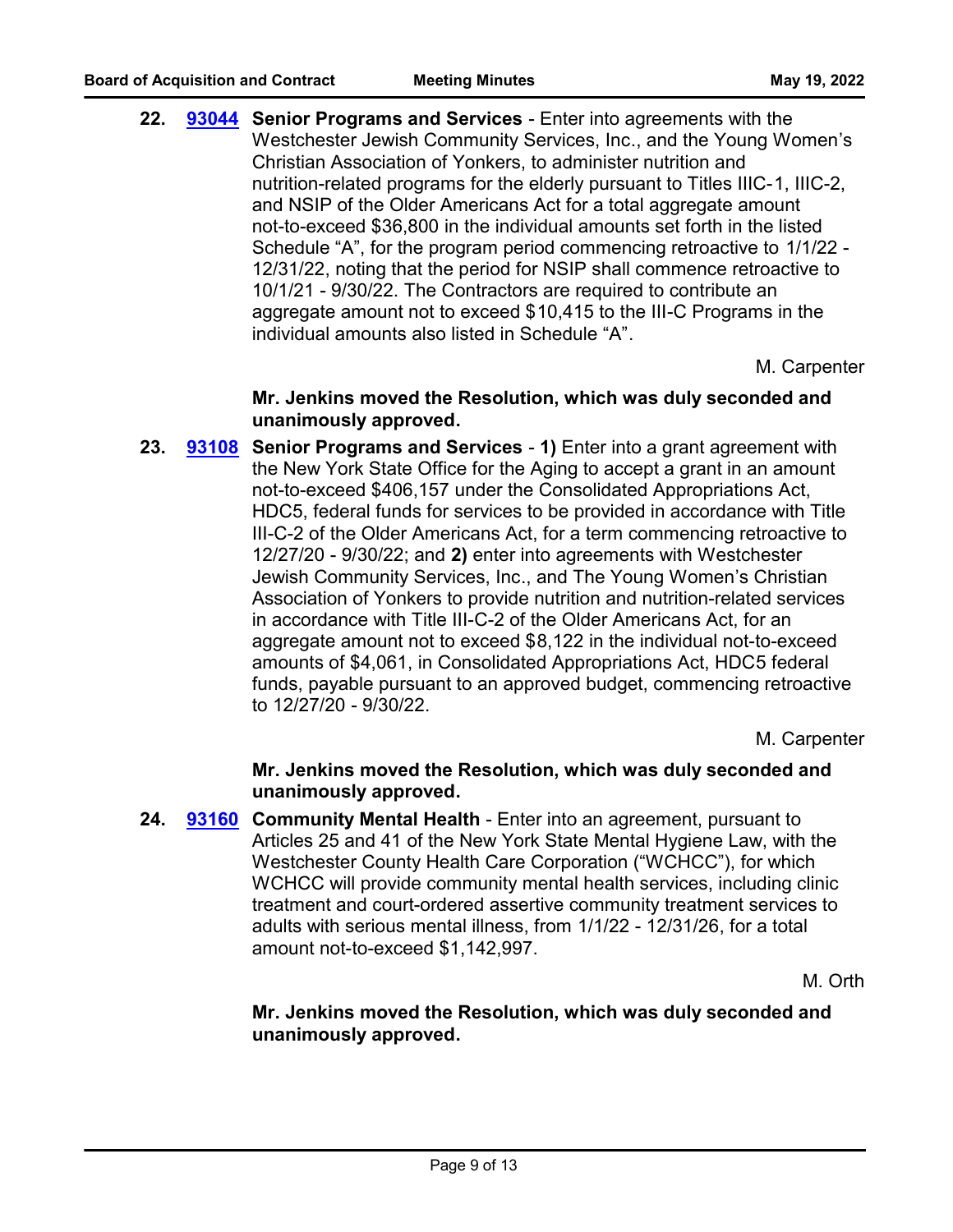22. **[93044](http://westchestercountynyexec.legistar.com/gateway.aspx?m=l&id=/matter.aspx?key=3360)** Senior Programs and Services - Enter into agreements with the Westchester Jewish Community Services, Inc., and the Young Women's Christian Association of Yonkers, to administer nutrition and nutrition-related programs for the elderly pursuant to Titles IIIC-1, IIIC-2, and NSIP of the Older Americans Act for a total aggregate amount not-to-exceed \$36,800 in the individual amounts set forth in the listed Schedule "A", for the program period commencing retroactive to 1/1/22 - 12/31/22, noting that the period for NSIP shall commence retroactive to 10/1/21 - 9/30/22. The Contractors are required to contribute an aggregate amount not to exceed \$10,415 to the III-C Programs in the individual amounts also listed in Schedule "A".

M. Carpenter

#### **Mr. Jenkins moved the Resolution, which was duly seconded and unanimously approved.**

**23. [93108](http://westchestercountynyexec.legistar.com/gateway.aspx?m=l&id=/matter.aspx?key=3361)** Senior Programs and Services - 1) Enter into a grant agreement with the New York State Office for the Aging to accept a grant in an amount not-to-exceed \$406,157 under the Consolidated Appropriations Act, HDC5, federal funds for services to be provided in accordance with Title III-C-2 of the Older Americans Act, for a term commencing retroactive to 12/27/20 - 9/30/22; and **2)** enter into agreements with Westchester Jewish Community Services, Inc., and The Young Women's Christian Association of Yonkers to provide nutrition and nutrition-related services in accordance with Title III-C-2 of the Older Americans Act, for an aggregate amount not to exceed \$8,122 in the individual not-to-exceed amounts of \$4,061, in Consolidated Appropriations Act, HDC5 federal funds, payable pursuant to an approved budget, commencing retroactive to 12/27/20 - 9/30/22.

M. Carpenter

# **Mr. Jenkins moved the Resolution, which was duly seconded and unanimously approved.**

**24. [93160](http://westchestercountynyexec.legistar.com/gateway.aspx?m=l&id=/matter.aspx?key=3362)** Community Mental Health - Enter into an agreement, pursuant to Articles 25 and 41 of the New York State Mental Hygiene Law, with the Westchester County Health Care Corporation ("WCHCC"), for which WCHCC will provide community mental health services, including clinic treatment and court-ordered assertive community treatment services to adults with serious mental illness, from 1/1/22 - 12/31/26, for a total amount not-to-exceed \$1,142,997.

M. Orth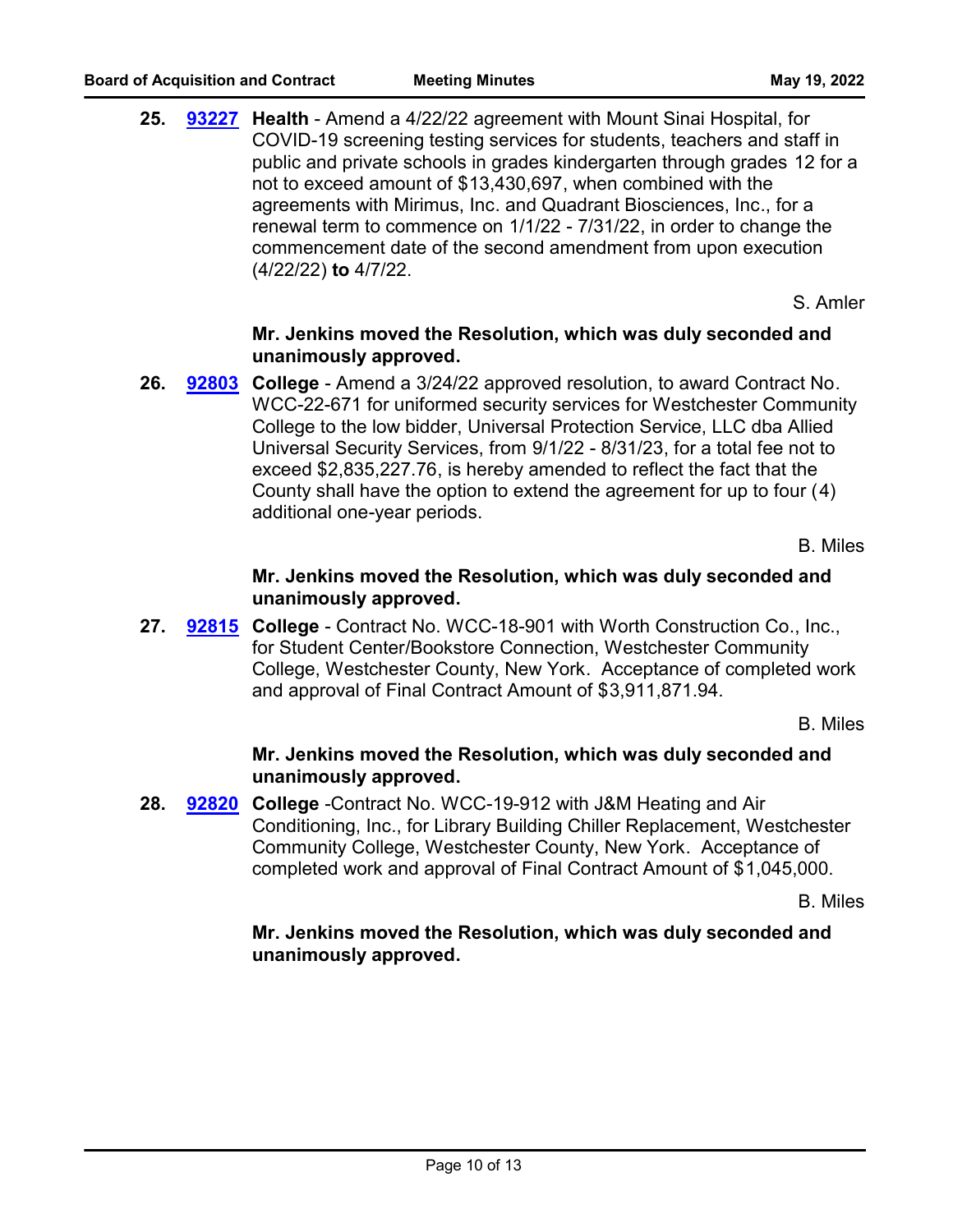**25. <u>[93227](http://westchestercountynyexec.legistar.com/gateway.aspx?m=l&id=/matter.aspx?key=3363)</u> Health** - Amend a 4/22/22 agreement with Mount Sinai Hospital, for COVID-19 screening testing services for students, teachers and staff in public and private schools in grades kindergarten through grades 12 for a not to exceed amount of \$13,430,697, when combined with the agreements with Mirimus, Inc. and Quadrant Biosciences, Inc., for a renewal term to commence on 1/1/22 - 7/31/22, in order to change the commencement date of the second amendment from upon execution (4/22/22) **to** 4/7/22.

S. Amler

#### **Mr. Jenkins moved the Resolution, which was duly seconded and unanimously approved.**

26. **[92803](http://westchestercountynyexec.legistar.com/gateway.aspx?m=l&id=/matter.aspx?key=3364)** College - Amend a 3/24/22 approved resolution, to award Contract No. WCC-22-671 for uniformed security services for Westchester Community College to the low bidder, Universal Protection Service, LLC dba Allied Universal Security Services, from 9/1/22 - 8/31/23, for a total fee not to exceed \$2,835,227.76, is hereby amended to reflect the fact that the County shall have the option to extend the agreement for up to four (4) additional one-year periods.

B. Miles

# **Mr. Jenkins moved the Resolution, which was duly seconded and unanimously approved.**

**27.** [92815](http://westchestercountynyexec.legistar.com/gateway.aspx?m=l&id=/matter.aspx?key=3365) College - Contract No. WCC-18-901 with Worth Construction Co., Inc., for Student Center/Bookstore Connection, Westchester Community College, Westchester County, New York. Acceptance of completed work and approval of Final Contract Amount of \$3,911,871.94.

B. Miles

# **Mr. Jenkins moved the Resolution, which was duly seconded and unanimously approved.**

28. **[92820](http://westchestercountynyexec.legistar.com/gateway.aspx?m=l&id=/matter.aspx?key=3366)** College -Contract No. WCC-19-912 with J&M Heating and Air Conditioning, Inc., for Library Building Chiller Replacement, Westchester Community College, Westchester County, New York. Acceptance of completed work and approval of Final Contract Amount of \$1,045,000.

B. Miles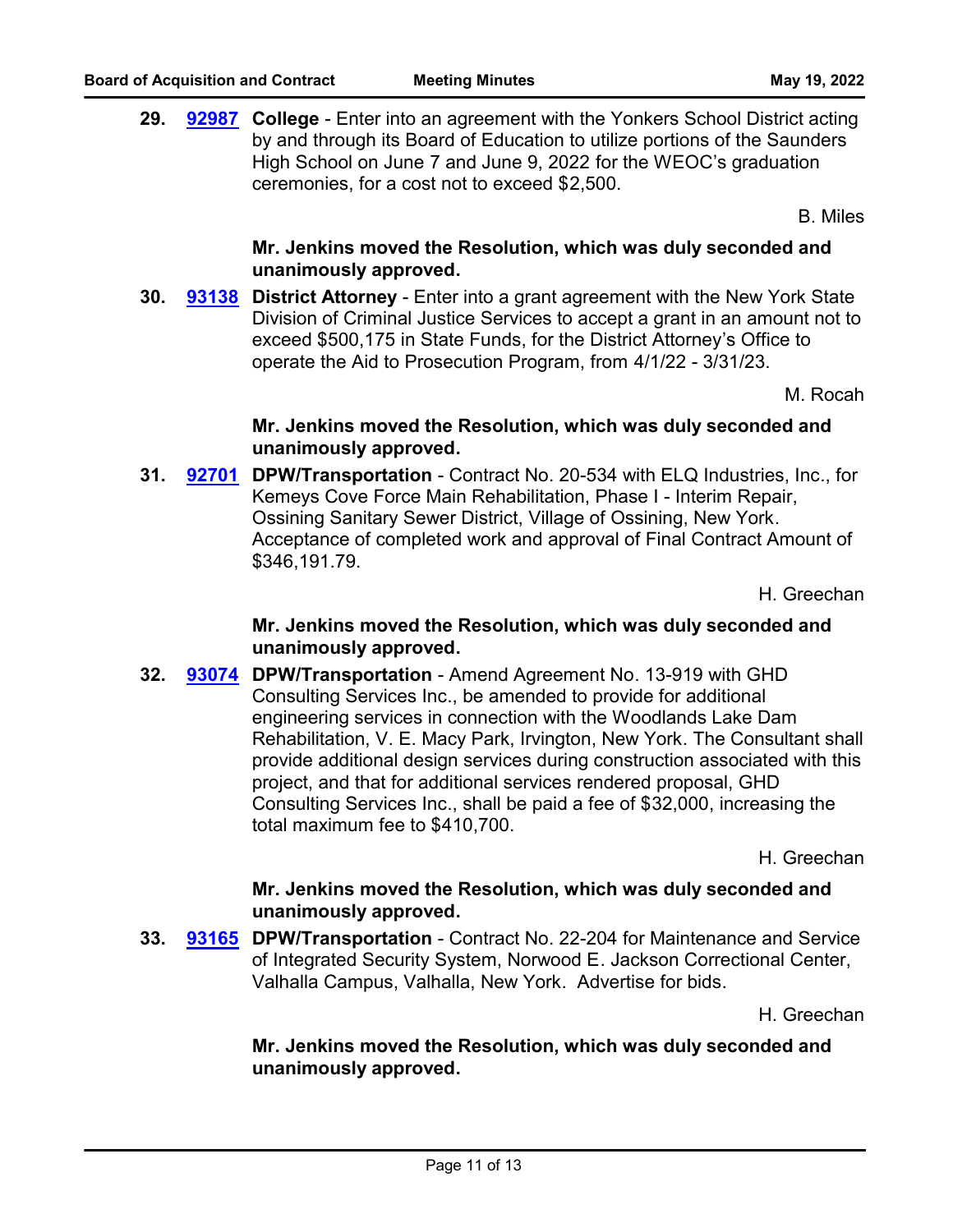**29. [92987](http://westchestercountynyexec.legistar.com/gateway.aspx?m=l&id=/matter.aspx?key=3367)** College - Enter into an agreement with the Yonkers School District acting by and through its Board of Education to utilize portions of the Saunders High School on June 7 and June 9, 2022 for the WEOC's graduation ceremonies, for a cost not to exceed \$2,500.

B. Miles

# **Mr. Jenkins moved the Resolution, which was duly seconded and unanimously approved.**

**30. District Attorney** - Enter into a grant agreement with the New York State **[93138](http://westchestercountynyexec.legistar.com/gateway.aspx?m=l&id=/matter.aspx?key=3368)** Division of Criminal Justice Services to accept a grant in an amount not to exceed \$500,175 in State Funds, for the District Attorney's Office to operate the Aid to Prosecution Program, from 4/1/22 - 3/31/23.

M. Rocah

# **Mr. Jenkins moved the Resolution, which was duly seconded and unanimously approved.**

**31.** [92701](http://westchestercountynyexec.legistar.com/gateway.aspx?m=l&id=/matter.aspx?key=3369) DPW/Transportation - Contract No. 20-534 with ELQ Industries, Inc., for Kemeys Cove Force Main Rehabilitation, Phase I - Interim Repair, Ossining Sanitary Sewer District, Village of Ossining, New York. Acceptance of completed work and approval of Final Contract Amount of \$346,191.79.

H. Greechan

#### **Mr. Jenkins moved the Resolution, which was duly seconded and unanimously approved.**

**32. [93074](http://westchestercountynyexec.legistar.com/gateway.aspx?m=l&id=/matter.aspx?key=3370)** DPW/Transportation - Amend Agreement No. 13-919 with GHD Consulting Services Inc., be amended to provide for additional engineering services in connection with the Woodlands Lake Dam Rehabilitation, V. E. Macy Park, Irvington, New York. The Consultant shall provide additional design services during construction associated with this project, and that for additional services rendered proposal, GHD Consulting Services Inc., shall be paid a fee of \$32,000, increasing the total maximum fee to \$410,700.

H. Greechan

# **Mr. Jenkins moved the Resolution, which was duly seconded and unanimously approved.**

**33. [93165](http://westchestercountynyexec.legistar.com/gateway.aspx?m=l&id=/matter.aspx?key=3371)** DPW/Transportation - Contract No. 22-204 for Maintenance and Service of Integrated Security System, Norwood E. Jackson Correctional Center, Valhalla Campus, Valhalla, New York. Advertise for bids.

H. Greechan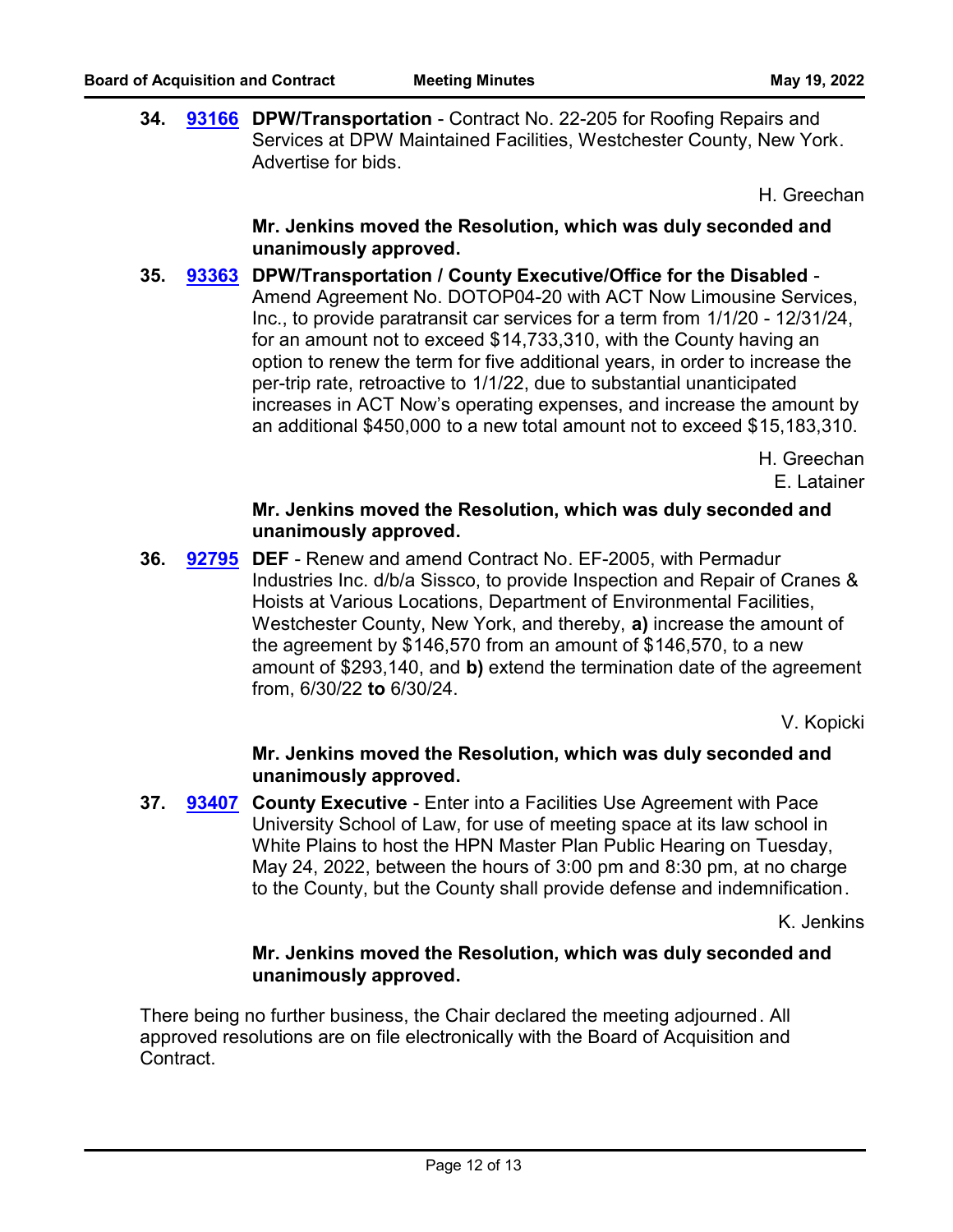**34. [93166](http://westchestercountynyexec.legistar.com/gateway.aspx?m=l&id=/matter.aspx?key=3372)** DPW/Transportation - Contract No. 22-205 for Roofing Repairs and Services at DPW Maintained Facilities, Westchester County, New York. Advertise for bids.

H. Greechan

**Mr. Jenkins moved the Resolution, which was duly seconded and unanimously approved.**

**35. DPW/Transportation / County Executive/Office for the Disabled** - **[93363](http://westchestercountynyexec.legistar.com/gateway.aspx?m=l&id=/matter.aspx?key=3375)** Amend Agreement No. DOTOP04-20 with ACT Now Limousine Services, Inc., to provide paratransit car services for a term from 1/1/20 - 12/31/24, for an amount not to exceed \$14,733,310, with the County having an option to renew the term for five additional years, in order to increase the per-trip rate, retroactive to 1/1/22, due to substantial unanticipated increases in ACT Now's operating expenses, and increase the amount by an additional \$450,000 to a new total amount not to exceed \$15,183,310.

> H. Greechan E. Latainer

# **Mr. Jenkins moved the Resolution, which was duly seconded and unanimously approved.**

**36. DEF** - Renew and amend Contract No. EF-2005, with Permadur **[92795](http://westchestercountynyexec.legistar.com/gateway.aspx?m=l&id=/matter.aspx?key=3373)** Industries Inc. d/b/a Sissco, to provide Inspection and Repair of Cranes & Hoists at Various Locations, Department of Environmental Facilities, Westchester County, New York, and thereby, **a)** increase the amount of the agreement by \$146,570 from an amount of \$146,570, to a new amount of \$293,140, and **b)** extend the termination date of the agreement from, 6/30/22 **to** 6/30/24.

V. Kopicki

# **Mr. Jenkins moved the Resolution, which was duly seconded and unanimously approved.**

**37. [93407](http://westchestercountynyexec.legistar.com/gateway.aspx?m=l&id=/matter.aspx?key=3376)** County Executive - Enter into a Facilities Use Agreement with Pace University School of Law, for use of meeting space at its law school in White Plains to host the HPN Master Plan Public Hearing on Tuesday, May 24, 2022, between the hours of 3:00 pm and 8:30 pm, at no charge to the County, but the County shall provide defense and indemnification.

K. Jenkins

# **Mr. Jenkins moved the Resolution, which was duly seconded and unanimously approved.**

There being no further business, the Chair declared the meeting adjourned. All approved resolutions are on file electronically with the Board of Acquisition and Contract.